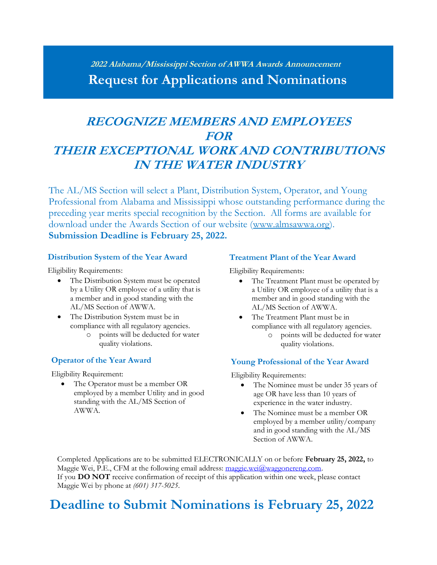# **<sup>2022</sup> Alabama/Mississippi Section of AWWA Awards Announcement Request for Applications and Nominations**

# **RECOGNIZE MEMBERS AND EMPLOYEES FOR THEIR EXCEPTIONAL WORK AND CONTRIBUTIONS IN THE WATER INDUSTRY**

The AL/MS Section will select a Plant, Distribution System, Operator, and Young Professional from Alabama and Mississippi whose outstanding performance during the preceding year merits special recognition by the Section. All forms are available for download under the Awards Section of our website [\(www.almsawwa.org\)](http://www.almsawwa.org/). **Submission Deadline is February 25, 2022.**

## **Distribution System of the Year Award**

Eligibility Requirements:

- The Distribution System must be operated by a Utility OR employee of a utility that is a member and in good standing with the AL/MS Section of AWWA.
- The Distribution System must be in compliance with all regulatory agencies.
	- points will be deducted for water quality violations.

## **Operator of the Year Award**

Eligibility Requirement:

The Operator must be a member OR employed by a member Utility and in good standing with the AL/MS Section of AWWA.

#### **Treatment Plant of the Year Award**

Eligibility Requirements:

- The Treatment Plant must be operated by a Utility OR employee of a utility that is a member and in good standing with the AL/MS Section of AWWA.
- The Treatment Plant must be in compliance with all regulatory agencies.
	- points will be deducted for water quality violations.

## **Young Professional of the Year Award**

Eligibility Requirements:

- The Nominee must be under 35 years of age OR have less than 10 years of experience in the water industry.
- The Nominee must be a member OR employed by a member utility/company and in good standing with the AL/MS Section of AWWA.

Completed Applications are to be submitted ELECTRONICALLY on or before **February 25, 2022,** to Maggie Wei, P.E., CFM at the following email address: [maggie.wei@waggonereng.com.](mailto:maggie.wei@waggonereng.com) If you **DO NOT** receive confirmation of receipt of this application within one week, please contact Maggie Wei by phone at *(601) 317-5025*.

# **Deadline to Submit Nominations is February 25, 2022**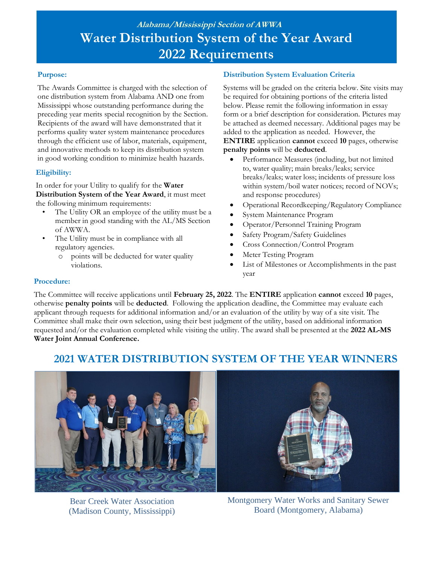# **Alabama/Mississippi Section of AWWA Water Distribution System of the Year Award 2022 Requirements**

## **Purpose:**

The Awards Committee is charged with the selection of one distribution system from Alabama AND one from Mississippi whose outstanding performance during the preceding year merits special recognition by the Section. Recipients of the award will have demonstrated that it performs quality water system maintenance procedures through the efficient use of labor, materials, equipment, and innovative methods to keep its distribution system in good working condition to minimize health hazards.

## **Eligibility:**

In order for your Utility to qualify for the **Water Distribution System of the Year Award**, it must meet the following minimum requirements:

- The Utility OR an employee of the utility must be a member in good standing with the AL/MS Section of AWWA.
- The Utility must be in compliance with all regulatory agencies.
	- o points will be deducted for water quality violations.

## **Distribution System Evaluation Criteria**

Systems will be graded on the criteria below. Site visits may be required for obtaining portions of the criteria listed below. Please remit the following information in essay form or a brief description for consideration. Pictures may be attached as deemed necessary. Additional pages may be added to the application as needed. However, the **ENTIRE** application **cannot** exceed **10** pages, otherwise **penalty points** will be **deducted**.

- Performance Measures (including, but not limited to, water quality; main breaks/leaks; service breaks/leaks; water loss; incidents of pressure loss within system/boil water notices; record of NOVs; and response procedures)
- Operational Recordkeeping/Regulatory Compliance
- System Maintenance Program
- Operator/Personnel Training Program
- Safety Program/Safety Guidelines
- Cross Connection/Control Program
- Meter Testing Program
- List of Milestones or Accomplishments in the past year

#### **Procedure:**

The Committee will receive applications until **February 25, 2022**. The **ENTIRE** application **cannot** exceed **10** pages, otherwise **penalty points** will be **deducted**. Following the application deadline, the Committee may evaluate each applicant through requests for additional information and/or an evaluation of the utility by way of a site visit. The Committee shall make their own selection, using their best judgment of the utility, based on additional information requested and/or the evaluation completed while visiting the utility. The award shall be presented at the **2022 AL-MS Water Joint Annual Conference.**

# **2021 WATER DISTRIBUTION SYSTEM OF THE YEAR WINNERS**



Bear Creek Water Association (Madison County, Mississippi)



Montgomery Water Works and Sanitary Sewer Board (Montgomery, Alabama)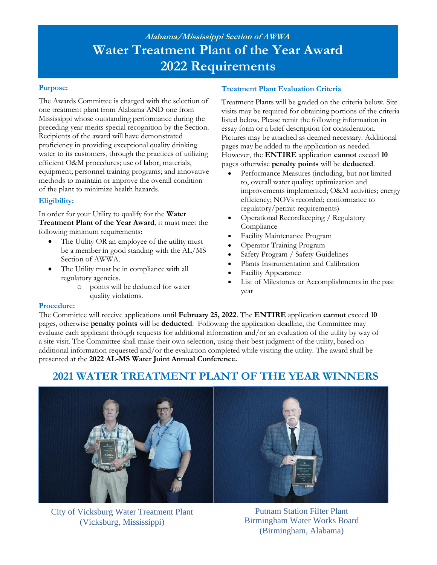# **Alabama/Mississippi Section of AWWA Water Treatment Plant of the Year Award 2022 Requirements**

#### **Purpose:**

The Awards Committee is charged with the selection of one treatment plant from Alabama AND one from Mississippi whose outstanding performance during the preceding year merits special recognition by the Section. Recipients of the award will have demonstrated proficiency in providing exceptional quality drinking water to its customers, through the practices of utilizing efficient O&M procedures; use of labor, materials, equipment; personnel training programs; and innovative methods to maintain or improve the overall condition of the plant to minimize health hazards.

## **Eligibility:**

In order for your Utility to qualify for the **Water Treatment Plant of the Year Award**, it must meet the following minimum requirements:

- The Utility OR an employee of the utility must be a member in good standing with the AL/MS Section of AWWA.
- The Utility must be in compliance with all regulatory agencies.
	- o points will be deducted for water quality violations.

## **Treatment Plant Evaluation Criteria**

Treatment Plants will be graded on the criteria below. Site visits may be required for obtaining portions of the criteria listed below. Please remit the following information in essay form or a brief description for consideration. Pictures may be attached as deemed necessary. Additional pages may be added to the application as needed. However, the **ENTIRE** application **cannot** exceed **10** pages otherwise **penalty points** will be **deducted**.

- Performance Measures (including, but not limited to, overall water quality; optimization and improvements implemented; O&M activities; energy efficiency; NOVs recorded; conformance to regulatory/permit requirements)
- Operational Recordkeeping / Regulatory Compliance
- Facility Maintenance Program
- Operator Training Program
- Safety Program / Safety Guidelines
- Plants Instrumentation and Calibration
- Facility Appearance
- List of Milestones or Accomplishments in the past year

#### **Procedure:**

The Committee will receive applications until **February 25, 2022**. The **ENTIRE** application **cannot** exceed **10** pages, otherwise **penalty points** will be **deducted**. Following the application deadline, the Committee may evaluate each applicant through requests for additional information and/or an evaluation of the utility by way of a site visit. The Committee shall make their own selection, using their best judgment of the utility, based on additional information requested and/or the evaluation completed while visiting the utility. The award shall be presented at the **2022 AL-MS Water Joint Annual Conference.**

# **2021 WATER TREATMENT PLANT OF THE YEAR WINNERS**



City of Vicksburg Water Treatment Plant (Vicksburg, Mississippi)

Putnam Station Filter Plant Birmingham Water Works Board (Birmingham, Alabama)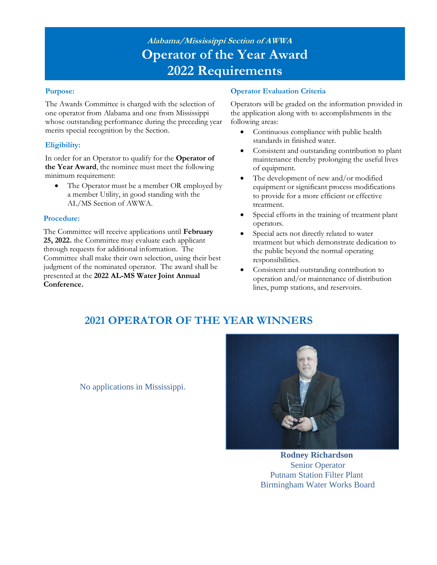# **Alabama/Mississippi Section of AWWA Operator of the Year Award 2022 Requirements**

#### **Purpose:**

The Awards Committee is charged with the selection of one operator from Alabama and one from Mississippi whose outstanding performance during the preceding year merits special recognition by the Section.

## **Eligibility:**

In order for an Operator to qualify for the **Operator of the Year Award**, the nominee must meet the following minimum requirement:

• The Operator must be a member OR employed by a member Utility, in good standing with the AL/MS Section of AWWA.

#### **Procedure:**

The Committee will receive applications until **February 25, 2022.** the Committee may evaluate each applicant through requests for additional information. The Committee shall make their own selection, using their best judgment of the nominated operator. The award shall be presented at the **2022 AL-MS Water Joint Annual Conference.**

### **Operator Evaluation Criteria**

Operators will be graded on the information provided in the application along with to accomplishments in the following areas:

- Continuous compliance with public health standards in finished water.
- Consistent and outstanding contribution to plant maintenance thereby prolonging the useful lives of equipment.
- The development of new and/or modified equipment or significant process modifications to provide for a more efficient or effective treatment.
- Special efforts in the training of treatment plant operators.
- Special acts not directly related to water treatment but which demonstrate dedication to the public beyond the normal operating responsibilities.
- Consistent and outstanding contribution to operation and/or maintenance of distribution lines, pump stations, and reservoirs.

# **2021 OPERATOR OF THE YEAR WINNERS**

No applications in Mississippi.



**Rodney Richardson** Senior Operator Putnam Station Filter Plant Birmingham Water Works Board